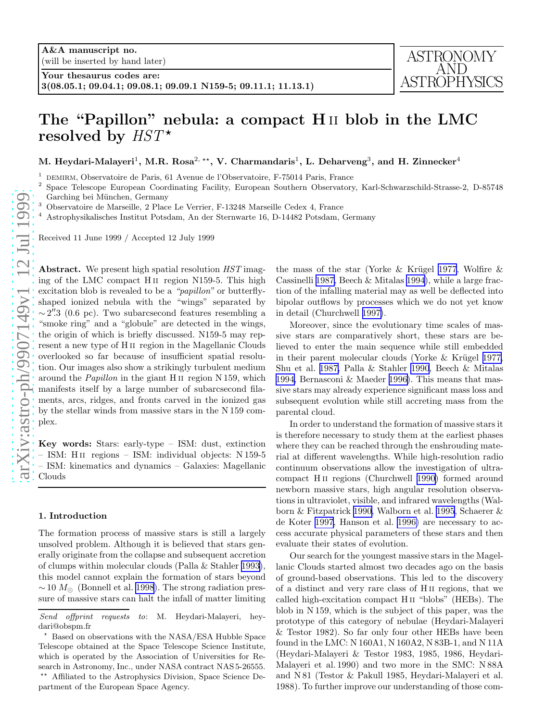

# The "Papillon" nebula: a compact H ii blob in the LMC resolved by  $HST^*$

M. Heydari-Malayeri<sup>1</sup>, M.R. Rosa<sup>2, \*\*</sup>, V. Charmandaris<sup>1</sup>, L. Deharveng<sup>3</sup>, and H. Zinnecker<sup>4</sup>

<sup>1</sup> DEMIRM, Observatoire de Paris, 61 Avenue de l'Observatoire, F-75014 Paris, France  $\frac{2}{3}$  Space Telescope European Coordinating Facility, European Southern Observatory

Space Telescope European Coordinating Facility, European Southern Observatory, Karl-Schwarzschild-Strasse-2, D-85748 Garching bei München, Germany

<sup>3</sup> Observatoire de Marseille, 2 Place Le Verrier, F-13248 Marseille Cedex 4, France <sup>4</sup> Astrophysikalisches Institut Potsdam, An der Sternwarte 16, D-14482 Potsdam, Germany

Received 11 June 1999 / Accepted 12 July 1999

Abstract. We present high spatial resolution  $HST$  imaging of the LMC compact H ii region N159-5. This high excitation blob is revealed to be a "*papillon*" or butterflyshaped ionized nebula with the "wings" separated by ∼2".3 (0.6 pc). Two subarcsecond features resembling a "smoke ring" and a "globule" are detected in the wings, the origin of which is briefly discussed. N159-5 may represent a new type of H ii region in the Magellanic Clouds overlooked so far because of insufficient spatial resolution. Our images also show a strikingly turbulent medium around the *Papillon* in the giant H<sub>II</sub> region N 159, which manifests itself by a large number of subarcsecond filaments, arcs, ridges, and fronts carved in the ionized gas by the stellar winds from massive stars in the N 159 complex.

Key words: Stars: early-type – ISM: dust, extinction – ISM: H ii regions – ISM: individual objects: N 159-5 – ISM: kinematics and dynamics – Galaxies: Magellanic Clouds

## 1. Introduction

The formation process of massive stars is still a largely unsolved problem. Although it is believed that stars generally originate from the collapse and subsequent accretion of clumps within molecular clouds (Palla & Stahler [1993\)](#page-4-0), this model cannot explain the formation of stars beyond  $\sim$  10  $M_{\odot}$  (Bonnell et al. [1998](#page-4-0)). The strong radiation pressure of massive stars can halt the infall of matter limiting

the mass of the star (Yorke & Krügel [1977](#page-4-0), Wolfire  $\&$ Cassinelli [1987,](#page-4-0) Beech & Mitalas [1994](#page-4-0)), while a large fraction of the infalling material may as well be deflected into bipolar outflows by processes which we do not yet know in detail (Churchwell [1997\)](#page-4-0).

Moreover, since the evolutionary time scales of massive stars are comparatively short, these stars are believed to enter the main sequence while still embedded in their parent molecular clouds (Yorke  $&$  Krügel [1977,](#page-4-0) Shu et al. [1987,](#page-4-0) Palla & Stahler [1990](#page-4-0), Beech & Mitalas [1994,](#page-4-0) Bernasconi & Maeder [1996\)](#page-4-0). This means that massive stars may already experience significant mass loss and subsequent evolution while still accreting mass from the parental cloud.

In order to understand the formation of massive stars it is therefore necessary to study them at the earliest phases where they can be reached through the enshrouding material at different wavelengths. While high-resolution radio continuum observations allow the investigation of ultracompact H ii regions (Churchwell [1990\)](#page-4-0) formed around newborn massive stars, high angular resolution observations in ultraviolet, visible, and infrared wavelengths (Walborn & Fitzpatrick [1990,](#page-4-0) Walborn et al. [1995](#page-4-0), Schaerer & de Koter [1997,](#page-4-0) Hanson et al. [1996\)](#page-4-0) are necessary to access accurate physical parameters of these stars and then evaluate their states of evolution.

Our search for the youngest massive stars in the Magellanic Clouds started almost two decades ago on the basis of ground-based observations. This led to the discovery of a distinct and very rare class of H ii regions, that we called high-excitation compact H ii "blobs" (HEBs). The blob in N 159, which is the subject of this paper, was the prototype of this category of nebulae (Heydari-Malayeri & Testor 1982). So far only four other HEBs have been found in the LMC: N 160A1, N 160A2, N 83B-1, and N 11A (Heydari-Malayeri & Testor 1983, 1985, 1986, Heydari-Malayeri et al. 1990) and two more in the SMC: N 88A and N 81 (Testor & Pakull 1985, Heydari-Malayeri et al. 1988). To further improve our understanding of those com-

Send offprint requests to: M. Heydari-Malayeri, heydari@obspm.fr<br>  $\rightarrow$  Based on observations with the NASA/ESA Hubble Space

Telescope obtained at the Space Telescope Science Institute, which is operated by the Association of Universities for Research in Astronomy, Inc., under NASA contract NAS 5-26555.

<sup>⋆⋆</sup> Affiliated to the Astrophysics Division, Space Science Department of the European Space Agency.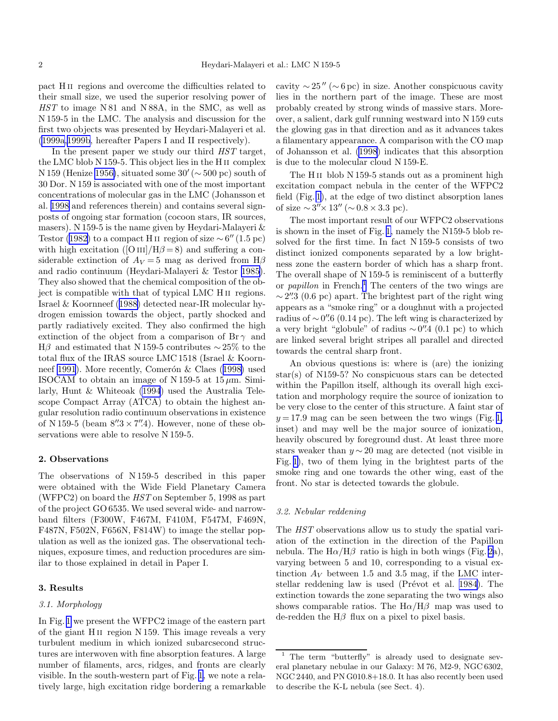pact H ii regions and overcome the difficulties related to their small size, we used the superior resolving power of HST to image N 81 and N 88A, in the SMC, as well as N 159-5 in the LMC. The analysis and discussion for the first two objects was presented by Heydari-Malayeri et al. ([1999a,1999b](#page-4-0), hereafter Papers I and II respectively).

In the present paper we study our third  $HST$  target, the LMC blob N 159-5. This object lies in the H ii complex N 159 (Henize [1956\)](#page-4-0), situated some  $30' (\sim 500 \text{ pc})$  south of 30 Dor. N 159 is associated with one of the most important concentrations of molecular gas in the LMC (Johansson et al. [1998](#page-4-0) and references therein) and contains several signposts of ongoing star formation (cocoon stars, IR sources, masers). N 159-5 is the name given by Heydari-Malayeri  $\&$ Testor ([1982\)](#page-4-0) to a compact H II region of size  $\sim 6'' (1.5 \text{ pc})$ with high excitation ([O III]/H $\beta$  = 8) and suffering a considerable extinction of  $A_V = 5$  mag as derived from H $\beta$ and radio continuum (Heydari-Malayeri & Testor [1985\)](#page-4-0). They also showed that the chemical composition of the object is compatible with that of typical LMC H ii regions. Israel & Koornneef ([1988\)](#page-4-0) detected near-IR molecular hydrogen emission towards the object, partly shocked and partly radiatively excited. They also confirmed the high extinction of the object from a comparison of  $\text{Br }\gamma$  and  $H\beta$  and estimated that N 159-5 contributes ~ 25% to the total flux of the IRAS source LMC 1518 (Israel & Koorn-neef [1991](#page-4-0)). More recently, Comerón  $\&$  Claes ([1998\)](#page-4-0) used ISOCAM to obtain an image of N 159-5 at  $15 \mu m$ . Similarly, Hunt & Whiteoak [\(1994](#page-4-0)) used the Australia Telescope Compact Array (ATCA) to obtain the highest angular resolution radio continuum observations in existence of N 159-5 (beam  $8''\!\!.3 \times 7''\!\!.4$ ). However, none of these observations were able to resolve N 159-5.

# 2. Observations

The observations of N 159-5 described in this paper were obtained with the Wide Field Planetary Camera (WFPC2) on board the HST on September 5, 1998 as part of the project GO 6535. We used several wide- and narrowband filters (F300W, F467M, F410M, F547M, F469N, F487N, F502N, F656N, F814W) to image the stellar population as well as the ionized gas. The observational techniques, exposure times, and reduction procedures are similar to those explained in detail in Paper I.

### 3. Results

## 3.1. Morphology

In Fig. [1](#page-2-0) we present the WFPC2 image of the eastern part of the giant H ii region N 159. This image reveals a very turbulent medium in which ionized subarcsecond structures are interwoven with fine absorption features. A large number of filaments, arcs, ridges, and fronts are clearly visible. In the south-western part of Fig. [1,](#page-2-0) we note a relatively large, high excitation ridge bordering a remarkable cavity  $\sim$  25" ( $\sim$  6 pc) in size. Another conspicuous cavity lies in the northern part of the image. These are most probably created by strong winds of massive stars. Moreover, a salient, dark gulf running westward into N 159 cuts the glowing gas in that direction and as it advances takes a filamentary appearance. A comparison with the CO map of Johansson et al. [\(1998](#page-4-0)) indicates that this absorption is due to the molecular cloud N 159-E.

The H<sub>II</sub> blob N 159-5 stands out as a prominent high excitation compact nebula in the center of the WFPC2 field (Fig. [1](#page-2-0)), at the edge of two distinct absorption lanes of size  $\sim 3'' \times 13''$  ( $\sim 0.8 \times 3.3$  pc).

The most important result of our WFPC2 observations is shown in the inset of Fig. [1,](#page-2-0) namely the N159-5 blob resolved for the first time. In fact N 159-5 consists of two distinct ionized components separated by a low brightness zone the eastern border of which has a sharp front. The overall shape of N 159-5 is reminiscent of a butterfly or *papillon* in French.<sup>1</sup> The centers of the two wings are  $\sim$  2".3 (0.6 pc) apart. The brightest part of the right wing appears as a "smoke ring" or a doughnut with a projected radius of  $\sim$  0".6 (0.14 pc). The left wing is characterized by a very bright "globule" of radius ∼ 0 ′′.4 (0.1 pc) to which are linked several bright stripes all parallel and directed towards the central sharp front.

An obvious questions is: where is (are) the ionizing star(s) of N159-5? No conspicuous stars can be detected within the Papillon itself, although its overall high excitation and morphology require the source of ionization to be very close to the center of this structure. A faint star of  $y = 17.9$  mag can be seen between the two wings (Fig. [1,](#page-2-0) inset) and may well be the major source of ionization, heavily obscured by foreground dust. At least three more stars weaker than  $y \sim 20$  mag are detected (not visible in Fig. [1\)](#page-2-0), two of them lying in the brightest parts of the smoke ring and one towards the other wing, east of the front. No star is detected towards the globule.

### 3.2. Nebular reddening

The  $HST$  observations allow us to study the spatial variation of the extinction in the direction of the Papillon nebula. The  $H\alpha/H\beta$  ratio is high in both wings (Fig. [2a](#page-3-0)), varying between 5 and 10, corresponding to a visual extinction  $A_V$  between 1.5 and 3.5 mag, if the LMC inter-stellar reddening law is used (Prévot et al. [1984\)](#page-4-0). The extinction towards the zone separating the two wings also shows comparable ratios. The  $H\alpha/H\beta$  map was used to de-redden the  $H\beta$  flux on a pixel to pixel basis.

<sup>&</sup>lt;sup>1</sup> The term "butterfly" is already used to designate several planetary nebulae in our Galaxy: M 76, M2-9, NGC 6302, NGC 2440, and PN G010.8+18.0. It has also recently been used to describe the K-L nebula (see Sect. 4).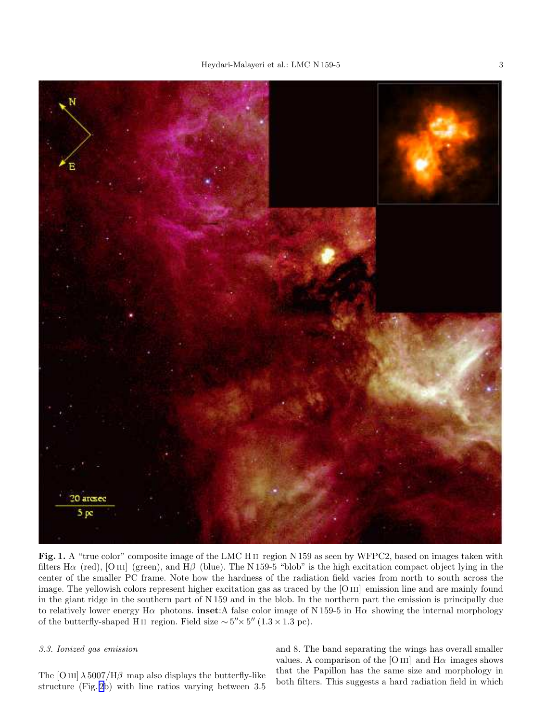<span id="page-2-0"></span>

Fig. 1. A "true color" composite image of the LMC H II region N 159 as seen by WFPC2, based on images taken with filters H $\alpha$  (red), [O III] (green), and H $\beta$  (blue). The N 159-5 "blob" is the high excitation compact object lying in the center of the smaller PC frame. Note how the hardness of the radiation field varies from north to south across the image. The yellowish colors represent higher excitation gas as traced by the [O III] emission line and are mainly found in the giant ridge in the southern part of N 159 and in the blob. In the northern part the emission is principally due to relatively lower energy H $\alpha$  photons. inset:A false color image of N 159-5 in H $\alpha$  showing the internal morphology of the butterfly-shaped H ii region. Field size  $\sim 5'' \times 5'' (1.3 \times 1.3 \text{ pc}).$ 

# 3.3. Ionized gas emission

The [O III]  $\lambda$  5007/H $\beta$  map also displays the butterfly-like structure (Fig. [2](#page-3-0)b) with line ratios varying between 3.5

and 8. The band separating the wings has overall smaller values. A comparison of the [O III] and  $H\alpha$  images shows that the Papillon has the same size and morphology in both filters. This suggests a hard radiation field in which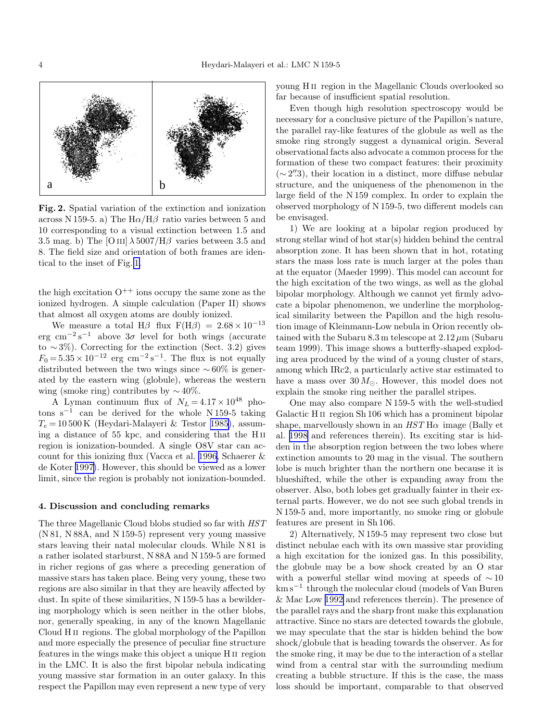<span id="page-3-0"></span>

Fig. 2. Spatial variation of the extinction and ionization across N 159-5. a) The  $H\alpha/H\beta$  ratio varies between 5 and 10 corresponding to a visual extinction between 1.5 and 3.5 mag. b) The [O III]  $\lambda$  5007/H $\beta$  varies between 3.5 and 8. The field size and orientation of both frames are identical to the inset of Fig. [1.](#page-2-0)

the high excitation  $O^{++}$  ions occupy the same zone as the ionized hydrogen. A simple calculation (Paper II) shows that almost all oxygen atoms are doubly ionized.

We measure a total H $\beta$  flux F(H $\beta$ ) = 2.68 × 10<sup>-13</sup> erg cm<sup>-2</sup>s<sup>-1</sup> above  $3\sigma$  level for both wings (accurate to  $\sim$ 3%). Correcting for the extinction (Sect. 3.2) gives  $F_0 = 5.35 \times 10^{-12}$  erg cm<sup>-2</sup>s<sup>-1</sup>. The flux is not equally distributed between the two wings since  $\sim 60\%$  is generated by the eastern wing (globule), whereas the western wing (smoke ring) contributes by  $\sim$  40%.

A Lyman continuum flux of  $N_L = 4.17 \times 10^{48}$  photons s<sup>-1</sup> can be derived for the whole N 159-5 taking  $T_e = 10\,500\,\mathrm{K}$  (Heydari-Malayeri & Testor [1985\)](#page-4-0), assuming a distance of 55 kpc, and considering that the H ii region is ionization-bounded. A single O8V star can account for this ionizing flux (Vacca et al. [1996,](#page-4-0) Schaerer & de Koter [1997\)](#page-4-0). However, this should be viewed as a lower limit, since the region is probably not ionization-bounded.

## 4. Discussion and concluding remarks

The three Magellanic Cloud blobs studied so far with HST (N 81, N 88A, and N 159-5) represent very young massive stars leaving their natal molecular clouds. While N 81 is a rather isolated starburst, N 88A and N 159-5 are formed in richer regions of gas where a preceding generation of massive stars has taken place. Being very young, these two regions are also similar in that they are heavily affected by dust. In spite of these similarities, N 159-5 has a bewildering morphology which is seen neither in the other blobs, nor, generally speaking, in any of the known Magellanic Cloud H ii regions. The global morphology of the Papillon and more especially the presence of peculiar fine structure features in the wings make this object a unique H ii region in the LMC. It is also the first bipolar nebula indicating young massive star formation in an outer galaxy. In this respect the Papillon may even represent a new type of very

young H ii region in the Magellanic Clouds overlooked so far because of insufficient spatial resolution.

Even though high resolution spectroscopy would be necessary for a conclusive picture of the Papillon's nature, the parallel ray-like features of the globule as well as the smoke ring strongly suggest a dynamical origin. Several observational facts also advocate a common process for the formation of these two compact features: their proximity (∼ 2 ′′.3), their location in a distinct, more diffuse nebular structure, and the uniqueness of the phenomenon in the large field of the N 159 complex. In order to explain the observed morphology of N 159-5, two different models can be envisaged.

1) We are looking at a bipolar region produced by strong stellar wind of hot star(s) hidden behind the central absorption zone. It has been shown that in hot, rotating stars the mass loss rate is much larger at the poles than at the equator (Maeder 1999). This model can account for the high excitation of the two wings, as well as the global bipolar morphology. Although we cannot yet firmly advocate a bipolar phenomenon, we underline the morphological similarity between the Papillon and the high resolution image of Kleinmann-Low nebula in Orion recently obtained with the Subaru 8.3 m telescope at  $2.12 \mu m$  (Subaru team 1999). This image shows a butterfly-shaped exploding area produced by the wind of a young cluster of stars, among which IRc2, a particularly active star estimated to have a mass over  $30 M_{\odot}$ . However, this model does not explain the smoke ring neither the parallel stripes.

One may also compare N 159-5 with the well-studied Galactic H ii region Sh 106 which has a prominent bipolar shape, marvellously shown in an  $HST$  H $\alpha$  image (Bally et al. [1998](#page-4-0) and references therein). Its exciting star is hidden in the absorption region between the two lobes where extinction amounts to 20 mag in the visual. The southern lobe is much brighter than the northern one because it is blueshifted, while the other is expanding away from the observer. Also, both lobes get gradually fainter in their external parts. However, we do not see such global trends in N 159-5 and, more importantly, no smoke ring or globule features are present in Sh 106.

2) Alternatively, N 159-5 may represent two close but distinct nebulae each with its own massive star providing a high excitation for the ionized gas. In this possibility, the globule may be a bow shock created by an O star with a powerful stellar wind moving at speeds of  $\sim$  10 km s<sup>−</sup><sup>1</sup> through the molecular cloud (models of Van Buren & Mac Low [1992](#page-4-0) and references therein). The presence of the parallel rays and the sharp front make this explanation attractive. Since no stars are detected towards the globule, we may speculate that the star is hidden behind the bow shock/globule that is heading towards the observer. As for the smoke ring, it may be due to the interaction of a stellar wind from a central star with the surrounding medium creating a bubble structure. If this is the case, the mass loss should be important, comparable to that observed